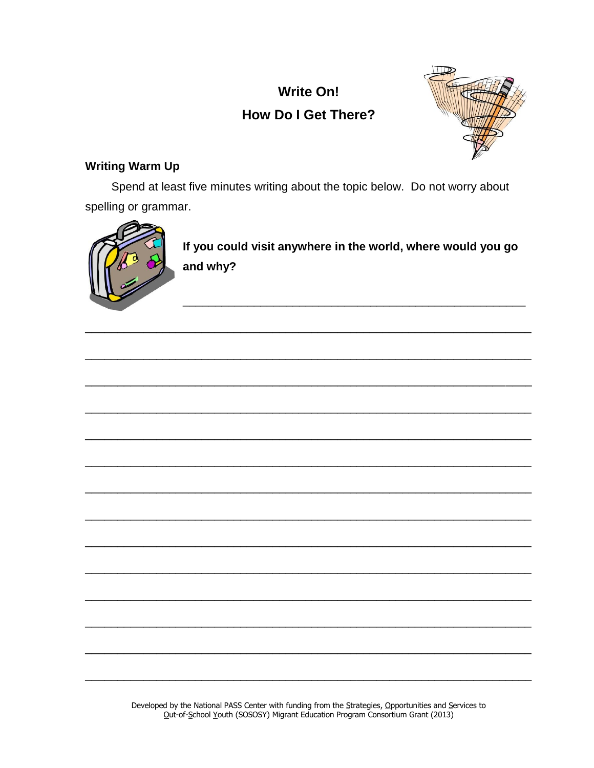

## **Writing Warm Up**

Spend at least five minutes writing about the topic below. Do not worry about spelling or grammar.



If you could visit anywhere in the world, where would you go and why?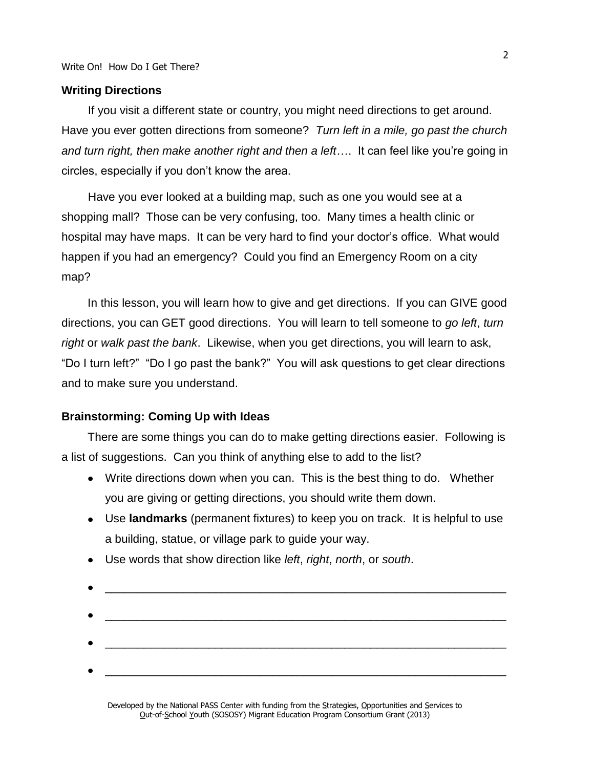#### **Writing Directions**

If you visit a different state or country, you might need directions to get around. Have you ever gotten directions from someone? *Turn left in a mile, go past the church and turn right, then make another right and then a left*…. It can feel like you're going in circles, especially if you don't know the area.

Have you ever looked at a building map, such as one you would see at a shopping mall? Those can be very confusing, too. Many times a health clinic or hospital may have maps. It can be very hard to find your doctor's office. What would happen if you had an emergency? Could you find an Emergency Room on a city map?

In this lesson, you will learn how to give and get directions. If you can GIVE good directions, you can GET good directions. You will learn to tell someone to *go left*, *turn right* or *walk past the bank*. Likewise, when you get directions, you will learn to ask, "Do I turn left?" "Do I go past the bank?" You will ask questions to get clear directions and to make sure you understand.

#### **Brainstorming: Coming Up with Ideas**

There are some things you can do to make getting directions easier. Following is a list of suggestions. Can you think of anything else to add to the list?

- Write directions down when you can. This is the best thing to do. Whether you are giving or getting directions, you should write them down.
- Use **landmarks** (permanent fixtures) to keep you on track. It is helpful to use a building, statue, or village park to guide your way.
- $\frac{1}{2}$  , and the set of the set of the set of the set of the set of the set of the set of the set of the set of the set of the set of the set of the set of the set of the set of the set of the set of the set of the set \_\_\_\_\_\_\_\_\_\_\_\_\_\_\_\_\_\_\_\_\_\_\_\_\_\_\_\_\_\_\_\_\_\_\_\_\_\_\_\_\_\_\_\_\_\_\_\_\_\_\_\_\_\_\_\_\_\_\_\_\_\_ \_\_\_\_\_\_\_\_\_\_\_\_\_\_\_\_\_\_\_\_\_\_\_\_\_\_\_\_\_\_\_\_\_\_\_\_\_\_\_\_\_\_\_\_\_\_\_\_\_\_\_\_\_\_\_\_\_\_\_\_\_\_
- Use words that show direction like *left*, *right*, *north*, or *south*.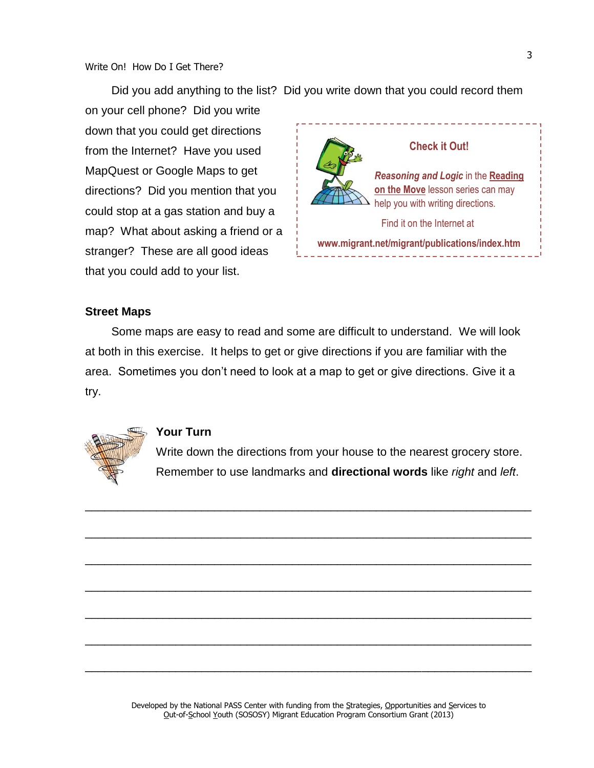Did you add anything to the list? Did you write down that you could record them

on your cell phone? Did you write down that you could get directions from the Internet? Have you used MapQuest or Google Maps to get directions? Did you mention that you could stop at a gas station and buy a map? What about asking a friend or a stranger? These are all good ideas that you could add to your list.



## **Street Maps**

Some maps are easy to read and some are difficult to understand. We will look at both in this exercise. It helps to get or give directions if you are familiar with the area. Sometimes you don't need to look at a map to get or give directions. Give it a try.

\_\_\_\_\_\_\_\_\_\_\_\_\_\_\_\_\_\_\_\_\_\_\_\_\_\_\_\_\_\_\_\_\_\_\_\_\_\_\_\_\_\_\_\_\_\_\_\_\_\_\_\_\_\_\_\_\_\_\_\_\_\_\_\_\_\_\_\_\_

\_\_\_\_\_\_\_\_\_\_\_\_\_\_\_\_\_\_\_\_\_\_\_\_\_\_\_\_\_\_\_\_\_\_\_\_\_\_\_\_\_\_\_\_\_\_\_\_\_\_\_\_\_\_\_\_\_\_\_\_\_\_\_\_\_\_\_\_\_

\_\_\_\_\_\_\_\_\_\_\_\_\_\_\_\_\_\_\_\_\_\_\_\_\_\_\_\_\_\_\_\_\_\_\_\_\_\_\_\_\_\_\_\_\_\_\_\_\_\_\_\_\_\_\_\_\_\_\_\_\_\_\_\_\_\_\_\_\_

\_\_\_\_\_\_\_\_\_\_\_\_\_\_\_\_\_\_\_\_\_\_\_\_\_\_\_\_\_\_\_\_\_\_\_\_\_\_\_\_\_\_\_\_\_\_\_\_\_\_\_\_\_\_\_\_\_\_\_\_\_\_\_\_\_\_\_\_\_

\_\_\_\_\_\_\_\_\_\_\_\_\_\_\_\_\_\_\_\_\_\_\_\_\_\_\_\_\_\_\_\_\_\_\_\_\_\_\_\_\_\_\_\_\_\_\_\_\_\_\_\_\_\_\_\_\_\_\_\_\_\_\_\_\_\_\_\_\_

\_\_\_\_\_\_\_\_\_\_\_\_\_\_\_\_\_\_\_\_\_\_\_\_\_\_\_\_\_\_\_\_\_\_\_\_\_\_\_\_\_\_\_\_\_\_\_\_\_\_\_\_\_\_\_\_\_\_\_\_\_\_\_\_\_\_\_\_\_

\_\_\_\_\_\_\_\_\_\_\_\_\_\_\_\_\_\_\_\_\_\_\_\_\_\_\_\_\_\_\_\_\_\_\_\_\_\_\_\_\_\_\_\_\_\_\_\_\_\_\_\_\_\_\_\_\_\_\_\_\_\_\_\_\_\_\_\_\_



#### **Your Turn**

Write down the directions from your house to the nearest grocery store. Remember to use landmarks and **directional words** like *right* and *left*.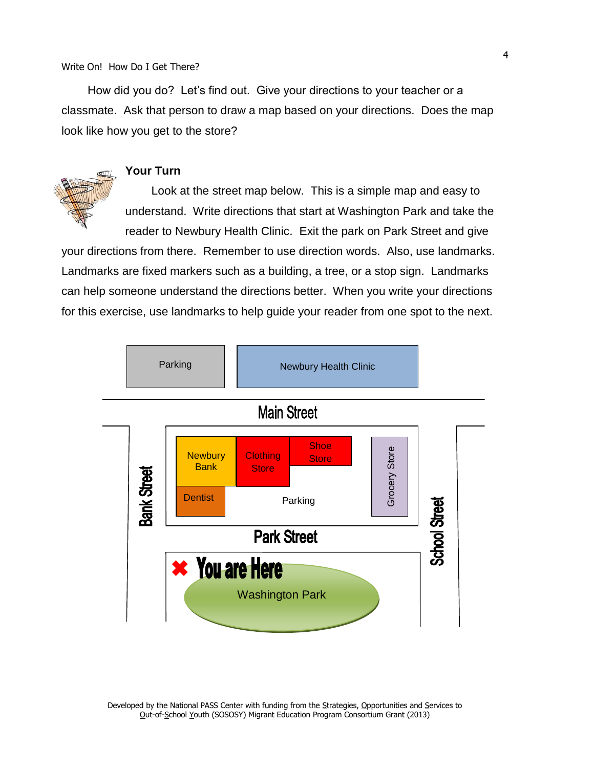How did you do? Let's find out. Give your directions to your teacher or a classmate. Ask that person to draw a map based on your directions. Does the map look like how you get to the store?

### **Your Turn**

Look at the street map below. This is a simple map and easy to understand. Write directions that start at Washington Park and take the

reader to Newbury Health Clinic. Exit the park on Park Street and give your directions from there. Remember to use direction words. Also, use landmarks. Landmarks are fixed markers such as a building, a tree, or a stop sign. Landmarks can help someone understand the directions better. When you write your directions for this exercise, use landmarks to help guide your reader from one spot to the next.

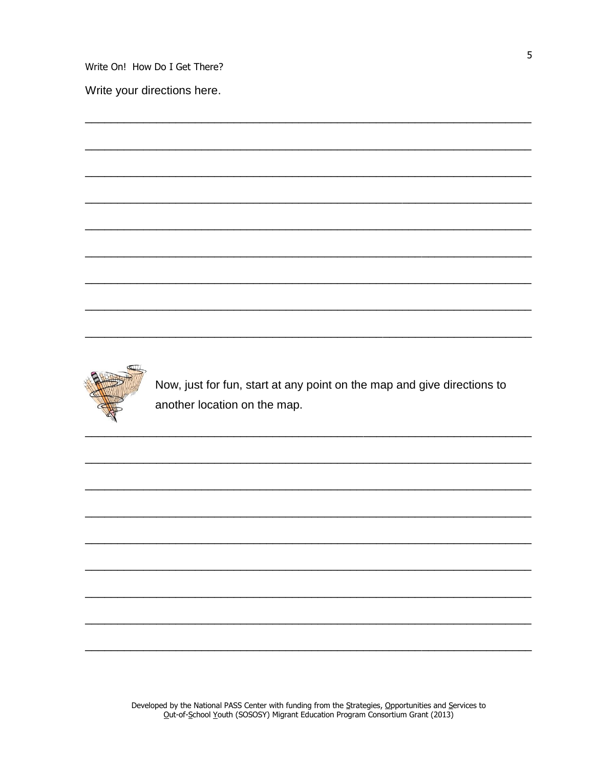Write your directions here.



Now, just for fun, start at any point on the map and give directions to another location on the map.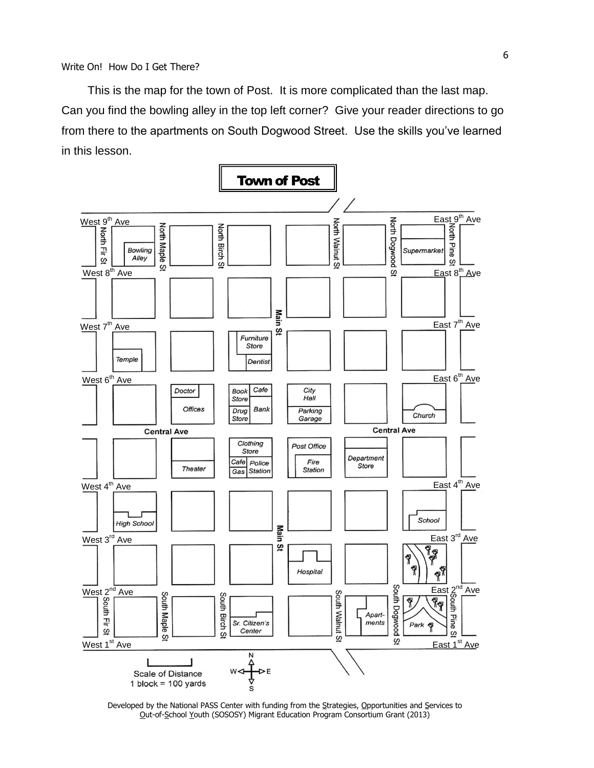This is the map for the town of Post. It is more complicated than the last map. Can you find the bowling alley in the top left corner? Give your reader directions to go from there to the apartments on South Dogwood Street. Use the skills you've learned in this lesson.



Developed by the National PASS Center with funding from the Strategies, Opportunities and Services to Out-of-School Youth (SOSOSY) Migrant Education Program Consortium Grant (2013)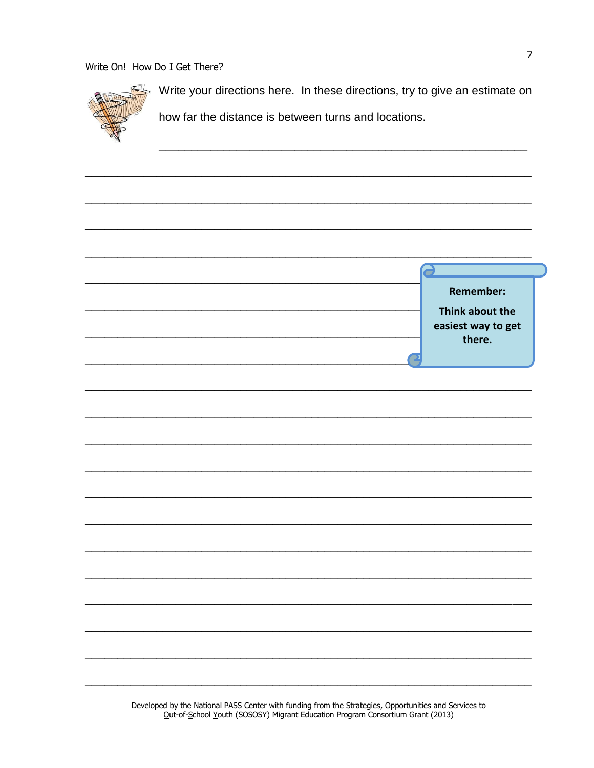

Write your directions here. In these directions, try to give an estimate on

how far the distance is between turns and locations.

| 2                  |
|--------------------|
|                    |
| <b>Remember:</b>   |
|                    |
| Think about the    |
| easiest way to get |
| there.             |
|                    |
|                    |
|                    |
|                    |
|                    |
|                    |
|                    |
|                    |
|                    |
|                    |
|                    |
|                    |
|                    |
|                    |
|                    |
|                    |
|                    |
|                    |
|                    |
|                    |
|                    |
|                    |
|                    |
|                    |
|                    |
|                    |
|                    |
|                    |
|                    |
|                    |
|                    |
|                    |
|                    |
|                    |
|                    |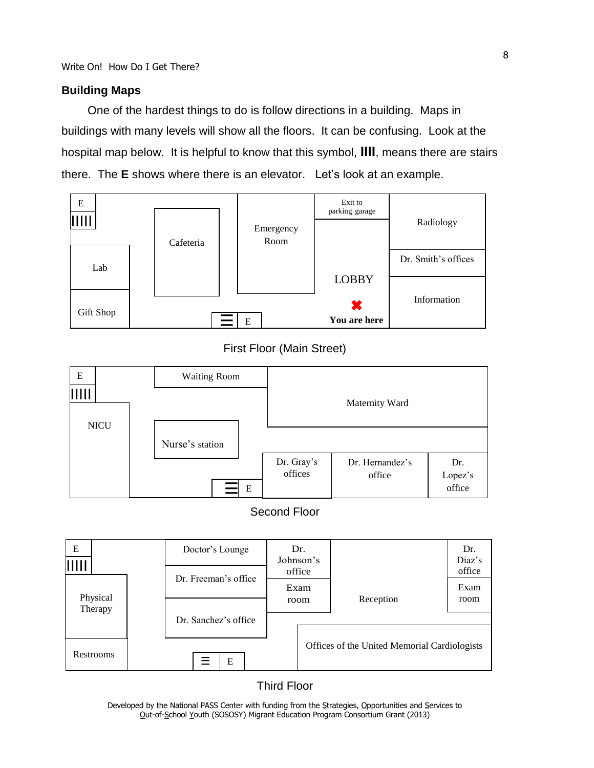#### **Building Maps**

One of the hardest things to do is follow directions in a building. Maps in buildings with many levels will show all the floors. It can be confusing. Look at the hospital map below. It is helpful to know that this symbol, **IIII**, means there are stairs there. The **E** shows where there is an elevator. Let's look at an example.



#### First Floor (Main Street)



#### Second Floor



#### Third Floor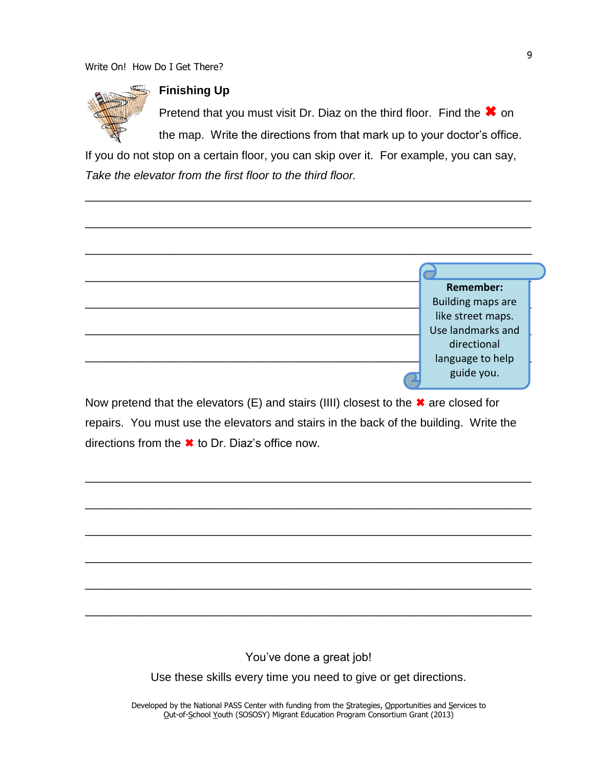

## **Finishing Up**

Pretend that you must visit Dr. Diaz on the third floor. Find the  $\ast$  on the map. Write the directions from that mark up to your doctor's office.

If you do not stop on a certain floor, you can skip over it. For example, you can say, *Take the elevator from the first floor to the third floor.*

\_\_\_\_\_\_\_\_\_\_\_\_\_\_\_\_\_\_\_\_\_\_\_\_\_\_\_\_\_\_\_\_\_\_\_\_\_\_\_\_\_\_\_\_\_\_\_\_\_\_\_\_\_\_\_\_\_\_\_\_\_\_\_\_\_\_\_\_\_

\_\_\_\_\_\_\_\_\_\_\_\_\_\_\_\_\_\_\_\_\_\_\_\_\_\_\_\_\_\_\_\_\_\_\_\_\_\_\_\_\_\_\_\_\_\_\_\_\_\_\_\_\_\_\_\_\_\_\_\_\_\_\_\_\_\_\_\_\_

| <b>Remember:</b>         |
|--------------------------|
| <b>Building maps are</b> |
| like street maps.        |
| Use landmarks and        |
| directional              |
| language to help         |
| guide you.               |

Now pretend that the elevators (E) and stairs (IIII) closest to the  $\ast$  are closed for repairs. You must use the elevators and stairs in the back of the building. Write the directions from the  $\ast$  to Dr. Diaz's office now.

\_\_\_\_\_\_\_\_\_\_\_\_\_\_\_\_\_\_\_\_\_\_\_\_\_\_\_\_\_\_\_\_\_\_\_\_\_\_\_\_\_\_\_\_\_\_\_\_\_\_\_\_\_\_\_\_\_\_\_\_\_\_\_\_\_\_\_\_\_

\_\_\_\_\_\_\_\_\_\_\_\_\_\_\_\_\_\_\_\_\_\_\_\_\_\_\_\_\_\_\_\_\_\_\_\_\_\_\_\_\_\_\_\_\_\_\_\_\_\_\_\_\_\_\_\_\_\_\_\_\_\_\_\_\_\_\_\_\_

\_\_\_\_\_\_\_\_\_\_\_\_\_\_\_\_\_\_\_\_\_\_\_\_\_\_\_\_\_\_\_\_\_\_\_\_\_\_\_\_\_\_\_\_\_\_\_\_\_\_\_\_\_\_\_\_\_\_\_\_\_\_\_\_\_\_\_\_\_

\_\_\_\_\_\_\_\_\_\_\_\_\_\_\_\_\_\_\_\_\_\_\_\_\_\_\_\_\_\_\_\_\_\_\_\_\_\_\_\_\_\_\_\_\_\_\_\_\_\_\_\_\_\_\_\_\_\_\_\_\_\_\_\_\_\_\_\_\_

\_\_\_\_\_\_\_\_\_\_\_\_\_\_\_\_\_\_\_\_\_\_\_\_\_\_\_\_\_\_\_\_\_\_\_\_\_\_\_\_\_\_\_\_\_\_\_\_\_\_\_\_\_\_\_\_\_\_\_\_\_\_\_\_\_\_\_\_\_

\_\_\_\_\_\_\_\_\_\_\_\_\_\_\_\_\_\_\_\_\_\_\_\_\_\_\_\_\_\_\_\_\_\_\_\_\_\_\_\_\_\_\_\_\_\_\_\_\_\_\_\_\_\_\_\_\_\_\_\_\_\_\_\_\_\_\_\_\_

You've done a great job!

Use these skills every time you need to give or get directions.